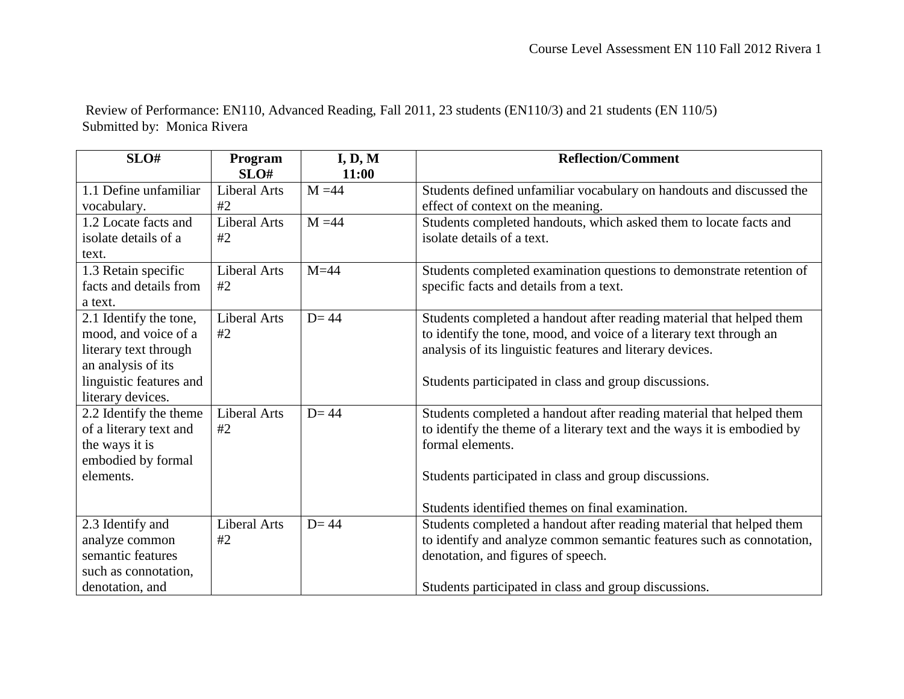Review of Performance: EN110, Advanced Reading, Fall 2011, 23 students (EN110/3) and 21 students (EN 110/5) Submitted by: Monica Rivera

| SLO#                    | Program             | I, D, M  | <b>Reflection/Comment</b>                                               |
|-------------------------|---------------------|----------|-------------------------------------------------------------------------|
|                         | SLO#                | 11:00    |                                                                         |
| 1.1 Define unfamiliar   | <b>Liberal Arts</b> | $M = 44$ | Students defined unfamiliar vocabulary on handouts and discussed the    |
| vocabulary.             | #2                  |          | effect of context on the meaning.                                       |
| 1.2 Locate facts and    | <b>Liberal Arts</b> | $M = 44$ | Students completed handouts, which asked them to locate facts and       |
| isolate details of a    | #2                  |          | isolate details of a text.                                              |
| text.                   |                     |          |                                                                         |
| 1.3 Retain specific     | <b>Liberal Arts</b> | $M=44$   | Students completed examination questions to demonstrate retention of    |
| facts and details from  | #2                  |          | specific facts and details from a text.                                 |
| a text.                 |                     |          |                                                                         |
| 2.1 Identify the tone,  | <b>Liberal Arts</b> | $D = 44$ | Students completed a handout after reading material that helped them    |
| mood, and voice of a    | #2                  |          | to identify the tone, mood, and voice of a literary text through an     |
| literary text through   |                     |          | analysis of its linguistic features and literary devices.               |
| an analysis of its      |                     |          |                                                                         |
| linguistic features and |                     |          | Students participated in class and group discussions.                   |
| literary devices.       |                     |          |                                                                         |
| 2.2 Identify the theme  | <b>Liberal Arts</b> | $D = 44$ | Students completed a handout after reading material that helped them    |
| of a literary text and  | #2                  |          | to identify the theme of a literary text and the ways it is embodied by |
| the ways it is          |                     |          | formal elements.                                                        |
| embodied by formal      |                     |          |                                                                         |
| elements.               |                     |          | Students participated in class and group discussions.                   |
|                         |                     |          |                                                                         |
|                         |                     |          | Students identified themes on final examination.                        |
| 2.3 Identify and        | <b>Liberal Arts</b> | $D = 44$ | Students completed a handout after reading material that helped them    |
| analyze common          | #2                  |          | to identify and analyze common semantic features such as connotation,   |
| semantic features       |                     |          | denotation, and figures of speech.                                      |
| such as connotation,    |                     |          |                                                                         |
| denotation, and         |                     |          | Students participated in class and group discussions.                   |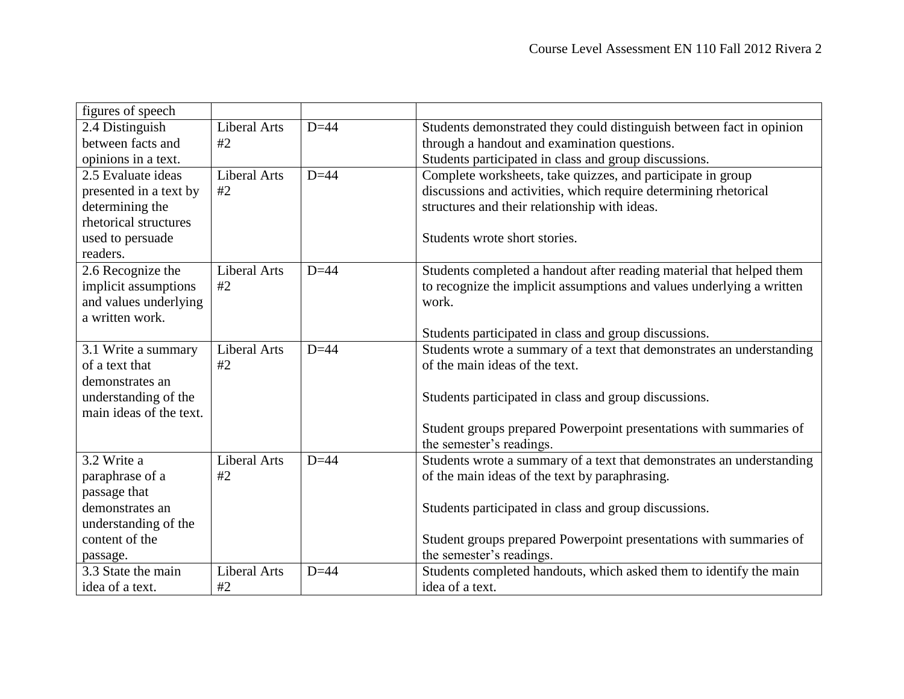| figures of speech       |                     |        |                                                                       |  |
|-------------------------|---------------------|--------|-----------------------------------------------------------------------|--|
| 2.4 Distinguish         | <b>Liberal Arts</b> | $D=44$ | Students demonstrated they could distinguish between fact in opinion  |  |
| between facts and       | #2                  |        | through a handout and examination questions.                          |  |
| opinions in a text.     |                     |        | Students participated in class and group discussions.                 |  |
| 2.5 Evaluate ideas      | <b>Liberal Arts</b> | $D=44$ | Complete worksheets, take quizzes, and participate in group           |  |
| presented in a text by  | #2                  |        | discussions and activities, which require determining rhetorical      |  |
| determining the         |                     |        | structures and their relationship with ideas.                         |  |
| rhetorical structures   |                     |        |                                                                       |  |
| used to persuade        |                     |        | Students wrote short stories.                                         |  |
| readers.                |                     |        |                                                                       |  |
| 2.6 Recognize the       | <b>Liberal Arts</b> | $D=44$ | Students completed a handout after reading material that helped them  |  |
| implicit assumptions    | #2                  |        | to recognize the implicit assumptions and values underlying a written |  |
| and values underlying   |                     |        | work.                                                                 |  |
| a written work.         |                     |        |                                                                       |  |
|                         |                     |        | Students participated in class and group discussions.                 |  |
| 3.1 Write a summary     | <b>Liberal Arts</b> | $D=44$ | Students wrote a summary of a text that demonstrates an understanding |  |
| of a text that          | #2                  |        | of the main ideas of the text.                                        |  |
| demonstrates an         |                     |        |                                                                       |  |
| understanding of the    |                     |        | Students participated in class and group discussions.                 |  |
| main ideas of the text. |                     |        |                                                                       |  |
|                         |                     |        | Student groups prepared Powerpoint presentations with summaries of    |  |
|                         |                     |        | the semester's readings.                                              |  |
| 3.2 Write a             | <b>Liberal Arts</b> | $D=44$ | Students wrote a summary of a text that demonstrates an understanding |  |
| paraphrase of a         | #2                  |        | of the main ideas of the text by paraphrasing.                        |  |
| passage that            |                     |        |                                                                       |  |
| demonstrates an         |                     |        | Students participated in class and group discussions.                 |  |
| understanding of the    |                     |        |                                                                       |  |
| content of the          |                     |        | Student groups prepared Powerpoint presentations with summaries of    |  |
| passage.                |                     |        | the semester's readings.                                              |  |
| 3.3 State the main      | <b>Liberal Arts</b> | $D=44$ | Students completed handouts, which asked them to identify the main    |  |
| idea of a text.         | #2                  |        | idea of a text.                                                       |  |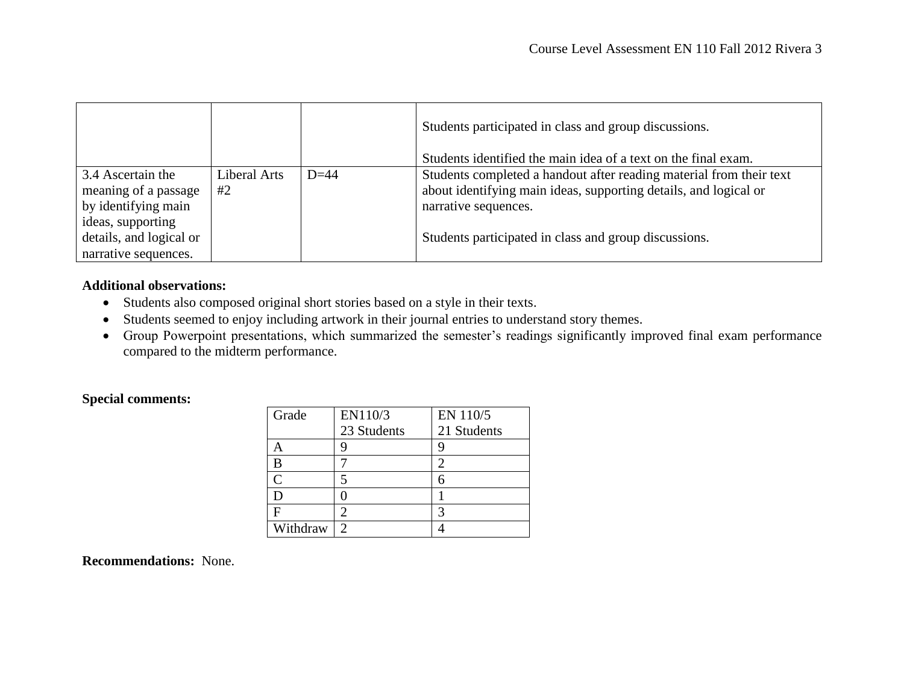|                                                                                                                                          |                    |        | Students participated in class and group discussions.<br>Students identified the main idea of a text on the final exam.                                                                                                  |
|------------------------------------------------------------------------------------------------------------------------------------------|--------------------|--------|--------------------------------------------------------------------------------------------------------------------------------------------------------------------------------------------------------------------------|
| 3.4 Ascertain the<br>meaning of a passage<br>by identifying main<br>ideas, supporting<br>details, and logical or<br>narrative sequences. | Liberal Arts<br>#2 | $D=44$ | Students completed a handout after reading material from their text<br>about identifying main ideas, supporting details, and logical or<br>narrative sequences.<br>Students participated in class and group discussions. |

## **Additional observations:**

- Students also composed original short stories based on a style in their texts.
- Students seemed to enjoy including artwork in their journal entries to understand story themes.
- Group Powerpoint presentations, which summarized the semester's readings significantly improved final exam performance compared to the midterm performance.

## **Special comments:**

| Grade    | EN110/3        | EN 110/5    |
|----------|----------------|-------------|
|          | 23 Students    | 21 Students |
|          |                | g           |
| В        |                | 2           |
| C        | 5              | б           |
|          |                |             |
| F        | 2              |             |
| Withdraw | $\mathfrak{D}$ |             |

**Recommendations:** None.